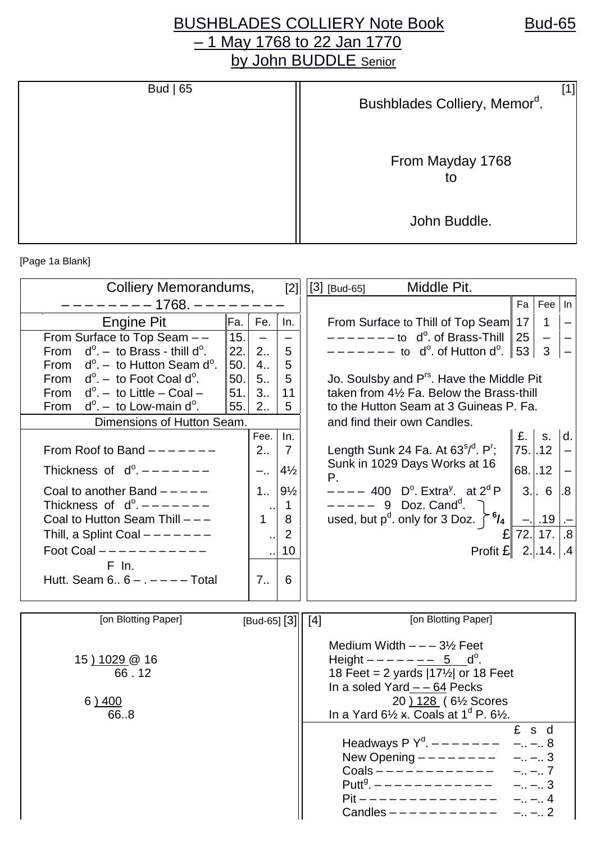## BUSHBLADES COLLIERY Note Book Bud-65 – 1 May 1768 to 22 Jan 1770 by John BUDDLE Senior

| Bud $ 65 $ | Bushblades Colliery, Memor <sup>d</sup> . |
|------------|-------------------------------------------|
|            | From Mayday 1768<br>to                    |
|            | John Buddle.                              |

[Page 1a Blank]

| Colliery Memorandums,                                |      |                      |                | Middle Pit.<br>$[2]   [3]$ [Bud-65]                                             |                 |
|------------------------------------------------------|------|----------------------|----------------|---------------------------------------------------------------------------------|-----------------|
| $-1768. - -$                                         |      |                      |                | Fa                                                                              | Fee In          |
| <b>Engine Pit</b>                                    | Fa.  | Fe.                  | In.            | From Surface to Thill of Top Seam 17<br>$\overline{1}$                          |                 |
| From Surface to Top Seam --                          | 15.  |                      |                | $------$ to d <sup>o</sup> . of Brass-Thill 25<br>$\overline{\phantom{m}}$      |                 |
| From $d^0 - t_0$ Brass - thill $d^0$ .               | 22.  | 2.5                  | 5              | – – – – – – – to   d <sup>o</sup> . of Hutton d <sup>o</sup> .  ∥ 53 ∣<br>3     |                 |
| From $d^{\circ}$ . – to Hutton Seam d <sup>o</sup> . | 50.  | 4.1                  | 5              |                                                                                 |                 |
| From $d^{\circ}$ . – to Foot Coal d <sup>o</sup> .   | 50.1 | 5 <sub>1</sub>       | 5              | Jo. Soulsby and P <sup>rs</sup> . Have the Middle Pit                           |                 |
| From $d^0 -$ to Little - Coal -                      | 51.  | 3.1                  | 11             | taken from 41/2 Fa. Below the Brass-thill                                       |                 |
| From $d^0 - t$ to Low-main $d^0$ .                   | 55.  | 2                    | 5              | to the Hutton Seam at 3 Guineas P. Fa.                                          |                 |
| Dimensions of Hutton Seam.                           |      |                      |                | and find their own Candles.                                                     |                 |
|                                                      |      | Fee.                 | In.            | $E.$ s.                                                                         | Id.             |
| From Roof to Band $---$ - - - - -                    |      | 2                    | $\overline{7}$ | $75.$<br>Length Sunk 24 Fa. At $63^{5/0}$ . P <sup>r</sup> ;                    |                 |
| Thickness of $d^0$ . $-- ---$                        |      | $-$                  | $4\frac{1}{2}$ | Sunk in 1029 Days Works at 16<br>$68.$<br>Р.                                    |                 |
| Coal to another Band $---$                           |      | $1_{1}$              | $9\frac{1}{2}$ | $3.$ . 6<br>$--- 400$ D <sup>o</sup> . Extra <sup>y</sup> . at 2 <sup>d</sup> P | $\overline{.8}$ |
| Thickness of $d^0$ , $-- ---$                        |      | $\sim$               | $\mathbf 1$    | $--- 9$ Doz. Cand <sup>d</sup> .                                                |                 |
| Coal to Hutton Seam Thill - --                       |      | $\mathbf{1}$         | 8              | used, but $p^d$ . only for 3 Doz. $\int_0^6$ /4<br>$-$ . 19.                    |                 |
| Thill, a Splint Coal $------$                        |      | $\ddot{\phantom{0}}$ | 2              | 72. 17.<br>£                                                                    | .8              |
| Foot Coal ----------                                 |      |                      | 10             | Profit $E$ 2144                                                                 |                 |
| $F$ In.                                              |      |                      |                |                                                                                 |                 |
| Hutt. Seam $6.6 - . - - -$ Total                     |      | 7 <sub>1</sub>       | 6              |                                                                                 |                 |
|                                                      |      |                      |                |                                                                                 |                 |
| [on Blotting Paper]                                  |      | [Bud-65] $[3]$ [4]   |                | [on Blotting Paper]                                                             |                 |
|                                                      |      |                      |                |                                                                                 |                 |
|                                                      |      |                      |                | Medium Width $---3\frac{1}{2}$ Feet                                             |                 |
| 15 <u>) 1029</u> @ 16                                |      |                      |                | Height $- - - - - - 5$ d <sup>o</sup> .                                         |                 |
| 66.12                                                |      |                      |                | 18 Feet = 2 yards $ 17\frac{1}{2} $ or 18 Feet                                  |                 |
|                                                      |      |                      |                | In a soled Yard $-$ - 64 Pecks                                                  |                 |
| 6)400                                                |      |                      |                | 20 ) 128 ( 6 <sup>1/2</sup> Scores                                              |                 |
| 668                                                  |      |                      |                | In a Yard $6\frac{1}{2}$ x. Coals at $1^d$ P. $6\frac{1}{2}$ .                  |                 |
|                                                      |      |                      |                | £ s d<br>Headways P $Y^d$ . $-- -- -$<br>$- - 8$                                |                 |
|                                                      |      |                      |                | New Opening $------$<br>$- - 3$                                                 |                 |
|                                                      |      |                      |                | $Coals$ -----------<br>$- - .7$                                                 |                 |
|                                                      |      |                      |                | $- - 3$                                                                         |                 |
|                                                      |      |                      |                | $Pit$ - - - - - - - - - - - - - -<br>$- - 4$                                    |                 |
|                                                      |      |                      |                | Candles $---------$<br>$- - 2$                                                  |                 |
|                                                      |      |                      |                |                                                                                 |                 |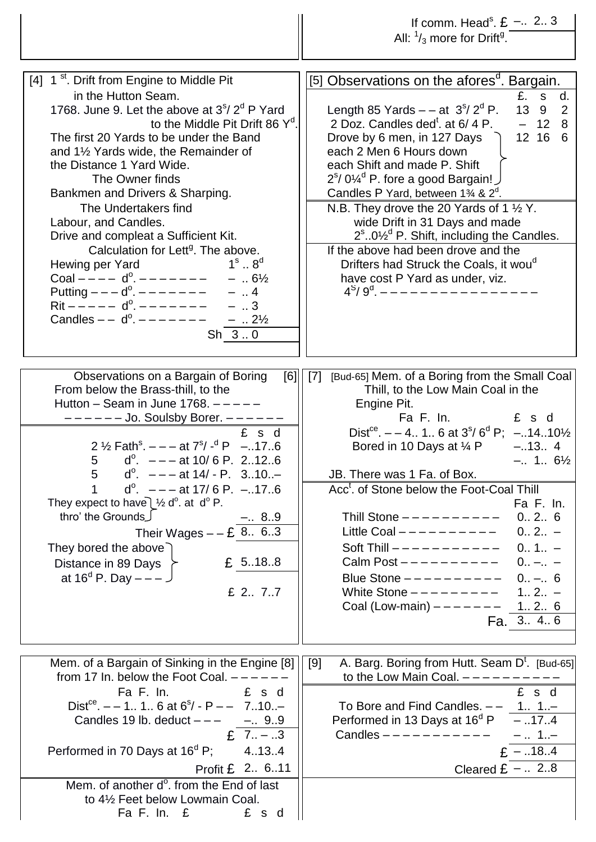|                                                                                                                                                                                                                                                                                                                                                                                                                                                                                                                                                                                                                                                                                                                                                                                            | If comm. Head <sup>s</sup> . $E - 2.3$<br>All: $\frac{1}{3}$ more for Drift <sup>g</sup> .                                                                                                                                                                                                                                                                                                                                                                                                                                                                                                                                                                                                                                                                                            |
|--------------------------------------------------------------------------------------------------------------------------------------------------------------------------------------------------------------------------------------------------------------------------------------------------------------------------------------------------------------------------------------------------------------------------------------------------------------------------------------------------------------------------------------------------------------------------------------------------------------------------------------------------------------------------------------------------------------------------------------------------------------------------------------------|---------------------------------------------------------------------------------------------------------------------------------------------------------------------------------------------------------------------------------------------------------------------------------------------------------------------------------------------------------------------------------------------------------------------------------------------------------------------------------------------------------------------------------------------------------------------------------------------------------------------------------------------------------------------------------------------------------------------------------------------------------------------------------------|
| [4] 1 <sup>st</sup> . Drift from Engine to Middle Pit<br>in the Hutton Seam.<br>1768. June 9. Let the above at $3s/2d$ P Yard<br>to the Middle Pit Drift 86 Y <sup>d</sup> .<br>The first 20 Yards to be under the Band<br>and $1\frac{1}{2}$ Yards wide, the Remainder of<br>the Distance 1 Yard Wide.<br>The Owner finds<br>Bankmen and Drivers & Sharping.<br>The Undertakers find<br>Labour, and Candles.<br>Drive and compleat a Sufficient Kit.<br>Calculation for Lett <sup>9</sup> . The above.<br>$1^{\rm s}$ $8^{\rm d}$<br>Hewing per Yard<br>Coal ---- $d^0$ ------- - - $6\frac{1}{2}$<br>Putting $--- d^{\circ}$ . $------$<br>$ \ldots$ 4<br>$Rit$ – – – – – d <sup>o</sup> . – – – – – – –<br>$-$ 3<br>Candles $-$ - $d^0$ . $        \ldots$ 21/ <sub>2</sub><br>$Sh_3.0$ | [5] Observations on the afores <sup>d</sup> . Bargain.<br>£. s d.<br>13 9 2<br>Length 85 Yards $-$ - at 3 <sup>\$</sup> /2 <sup>d</sup> P.<br>2 Doz. Candles ded <sup>t</sup> . at 6/4 P.<br>$-128$<br>12 16 6<br>Drove by 6 men, in 127 Days<br>each 2 Men 6 Hours down<br>each Shift and made P. Shift<br>$2^{\text{s}}$ / 0 $\frac{\text{V}}{\text{s}}$ <sup>d</sup> P. fore a good Bargain! J<br>Candles P Yard, between $1\frac{3}{4}$ & $2^d$ .<br>N.B. They drove the 20 Yards of 1 1/2 Y.<br>wide Drift in 31 Days and made<br>$2^{\text{s}}$ 0 $\frac{1}{2}^{\text{d}}$ P. Shift, including the Candles.<br>If the above had been drove and the<br>Drifters had Struck the Coals, it wou <sup>d</sup><br>have cost P Yard as under, viz.<br>$4^{S}/9^{d}$ , ---------------- |
| Observations on a Bargain of Boring<br>[6]<br>From below the Brass-thill, to the<br>Hutton – Seam in June 1768. $---$<br>------ Jo. Soulsby Borer. ------<br>£ s d<br>2 $\frac{1}{2}$ Fath <sup>s</sup> . $-$ - at $7^{s}/$ - <sup>d</sup> P -176<br>5 $d^0$ . $- - -$ at 10/6 P. 2.12.6<br>$d^{\circ}$ . $---$ at 14/ - P. 310<br>5<br>1<br>$d^{\circ}$ . $---$ at 17/6 P. $---$ 17.6<br>They expect to have $\frac{1}{2}$ d <sup>o</sup> . at d <sup>o</sup> P.<br>thro' the Grounds<br>Use Their Wages – – £ $\frac{-.89}{-.863}$<br>They bored the above<br>£ 5188<br>Distance in 89 Days<br>at 16 <sup>d</sup> P. Day $---$ J<br>£ 2 77                                                                                                                                               | [Bud-65] Mem. of a Boring from the Small Coal<br>[7]<br>Thill, to the Low Main Coal in the<br>Engine Pit.<br>Fa F. In.<br>£ s d<br>Dist <sup>ce</sup> . $- - 4$ 1 6 at $3^{\circ}/6^{\circ}$ P; $-.1410\frac{1}{2}$<br>Bored in 10 Days at $\frac{1}{4}$ P<br>$-.134$<br>$-. 1 6\frac{1}{2}$<br>JB. There was 1 Fa. of Box.<br>Acc <sup>t</sup> . of Stone below the Foot-Coal Thill<br>Fa F. In.<br>Thill Stone $---------$<br>0.2.6<br>Little Coal $---------$<br>$0 2 -$<br>$0 1 -$<br>Calm Post $---------$<br>$0 -  -$<br>Blue Stone $---------$<br>$0 - 6$<br>White Stone $---------$<br>$1 2 -$<br>Coal (Low-main) $------$<br>1 2 6<br>Fa. 3. $4.\overline{6}$                                                                                                                |
| Mem. of a Bargain of Sinking in the Engine [8]<br>from 17 In. below the Foot Coal. $---$<br>£ s d<br>Fa F. In.<br>Dist <sup>ce</sup> . $-$ - 1 1 6 at $6^{\circ}/$ - P $-$ 710<br>Candles 19 lb. deduct $---$ - 9.9<br>£ $7.1 - .3$<br>Performed in 70 Days at $16^d$ P;<br>4.13.4<br>Profit £ 2 611<br>Mem. of another d <sup>o</sup> . from the End of last<br>to 4½ Feet below Lowmain Coal.<br>Fa F. In. $E$<br>£ s d                                                                                                                                                                                                                                                                                                                                                                  | A. Barg. Boring from Hutt. Seam D <sup>t</sup> . [Bud-65]<br>[9]<br>to the Low Main Coal. $---------$<br>£ s d<br>To Bore and Find Candles. $- -$ 1 1<br>Performed in 13 Days at $16^d$ P $\overline{\phantom{a}-.174}$<br>Candles $---------$ - 1<br>$E = .18.4$<br>Cleared $E - 2.8$                                                                                                                                                                                                                                                                                                                                                                                                                                                                                                |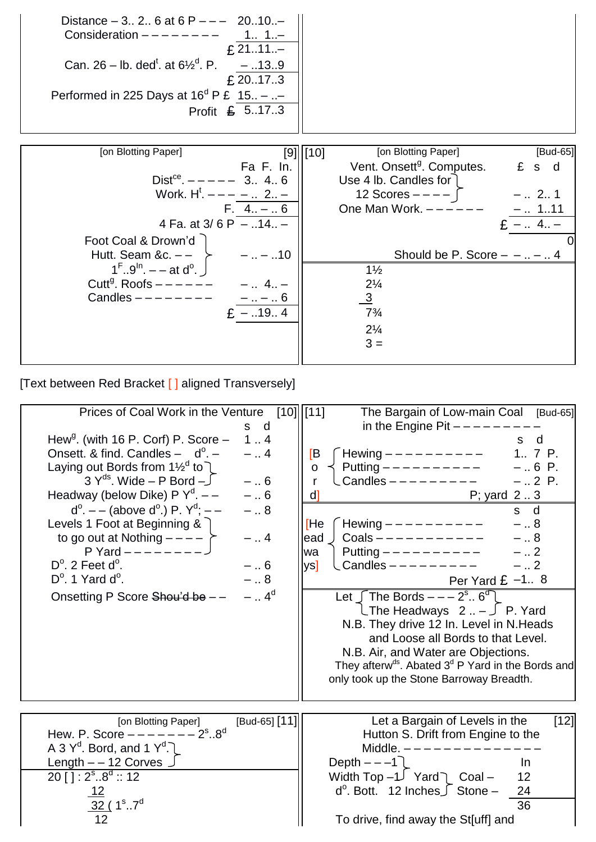| Distance $-3$ . 2. 6 at 6 P $ -$ 20.10. $-$<br>Consideration $------$<br>£ 2111. $-$<br>Can. 26 – lb. ded <sup>t</sup> . at $6\frac{1}{2}$ <sup>d</sup> . P. – 139<br>£ 20.17.3<br>Performed in 225 Days at $16^d$ P £ 15 - -<br>Profit £ 5173 |                                                |
|------------------------------------------------------------------------------------------------------------------------------------------------------------------------------------------------------------------------------------------------|------------------------------------------------|
| [on Blotting Paper]                                                                                                                                                                                                                            | [on Blotting Paper]<br>[Bud-65]                |
|                                                                                                                                                                                                                                                | $[9]$    $[10]$                                |
| Fa F. In.                                                                                                                                                                                                                                      | Vent. Onsett <sup>g</sup> . Computes.<br>£ s d |
| Dist <sup>ce</sup> . $--- 3.4.6$                                                                                                                                                                                                               | Use 4 lb. Candles for                          |
| Work. $H^t$ . $-- -.$ 2 $-$                                                                                                                                                                                                                    | 12 Scores $---$ [<br>$-$ 2 1                   |
| $F. 4 - .6$                                                                                                                                                                                                                                    | One Man Work. $---$<br>–   111                 |
| 4 Fa. at $3/6$ P $-$ 14 -                                                                                                                                                                                                                      | $E - 4. -$                                     |
| Foot Coal & Drown'd                                                                                                                                                                                                                            |                                                |
| Hutt. Seam &c. $-$ -<br>$-  - .10$                                                                                                                                                                                                             | Should be P. Score $- -  -  4$                 |
| $1^{\mathsf{F}} \cdot .9^{\mathsf{In}} - \mathsf{at} \, \mathrm{d}^{\mathsf{O}} \cdot \; \mathsf{I}$                                                                                                                                           | $1\frac{1}{2}$                                 |
| Cutt <sup>g</sup> . Roofs $---$ - - - -                                                                                                                                                                                                        | $2\frac{1}{4}$                                 |
| Candles $------$                                                                                                                                                                                                                               |                                                |
| -  –  6                                                                                                                                                                                                                                        | $\frac{3}{2}$                                  |
| - 19 4                                                                                                                                                                                                                                         | $7\frac{3}{4}$                                 |
|                                                                                                                                                                                                                                                | $2\frac{1}{4}$                                 |

 $3 =$ 

[Text between Red Bracket [ ] aligned Transversely]

| Prices of Coal Work in the Venture<br>Hew <sup>g</sup> . (with 16 P. Corf) P. Score $-$<br>Onsett. & find. Candles $-$ d <sup>o</sup> . $-$<br>Laying out Bords from $1\frac{1}{2}$ <sup>d</sup> to $\ell$<br>$3 Y^{ds}$ . Wide – P Bord – $\int$<br>Headway (below Dike) P $Y^d$ . --<br>$d^{\circ}$ . – – (above d <sup>o</sup> .) P. Y <sup>d</sup> ; – –<br>Levels 1 Foot at Beginning &<br>to go out at Nothing $--- \succeq$<br>P Yard $------$<br>$D^{\circ}$ . 2 Feet d $^{\circ}$ .<br>$D^{\circ}$ . 1 Yard d <sup>o</sup> .<br>Onsetting P Score Shou'd be - - | s d<br>1.4<br>$-$ 4<br>$-6$<br>$- \dots 6$<br>$-$ 8<br>$-$ 4<br>$-6$<br>$-$ 8<br>$-$ 4 <sup>d</sup> | The Bargain of Low-main Coal<br>[10]   [11]<br>[Bud-65]<br>in the Engine Pit $---$<br>s d<br>Hewing $---------$<br>1.7P.<br>[Β<br>Putting $---------$<br>$-.6 P.$<br>$\mathbf O$<br>Candles $------$<br>$-.2 P.$<br>r<br>P; yard 23<br>d1<br>s d<br>Hewing $---------$<br>[He<br>$-$ 8<br>$Coals$ - - - - - - - - - - -<br>$- 8$<br>ead<br>$- 2$<br>wa<br>Candles $------$<br>$-2$<br>$\mathsf{vs}$<br>Per Yard $E -1.8$<br>Let $\int$ The Bords $--- 2^s$ $6^d$<br>$\Box$ The Headways 2 – $\Box$ P. Yard<br>N.B. They drive 12 In. Level in N.Heads<br>and Loose all Bords to that Level.<br>N.B. Air, and Water are Objections.<br>They afterw <sup>ds</sup> . Abated $3d$ P Yard in the Bords and |
|--------------------------------------------------------------------------------------------------------------------------------------------------------------------------------------------------------------------------------------------------------------------------------------------------------------------------------------------------------------------------------------------------------------------------------------------------------------------------------------------------------------------------------------------------------------------------|-----------------------------------------------------------------------------------------------------|-------------------------------------------------------------------------------------------------------------------------------------------------------------------------------------------------------------------------------------------------------------------------------------------------------------------------------------------------------------------------------------------------------------------------------------------------------------------------------------------------------------------------------------------------------------------------------------------------------------------------------------------------------------------------------------------------------|
|                                                                                                                                                                                                                                                                                                                                                                                                                                                                                                                                                                          |                                                                                                     | only took up the Stone Barroway Breadth.                                                                                                                                                                                                                                                                                                                                                                                                                                                                                                                                                                                                                                                              |
| [on Blotting Paper]<br>Hew. P. Score $--- -2s . 8d$<br>A 3 $Y^d$ . Bord, and 1 $Y^d$ .<br>Length - - 12 Corves<br>$20$ [ ] : $2^{\text{s}}$ 8 <sup>d</sup> :: 12<br>$32 (1^{\circ}.7^{\circ}$                                                                                                                                                                                                                                                                                                                                                                            | [Bud-65] [11]                                                                                       | Let a Bargain of Levels in the<br>[12]<br>Hutton S. Drift from Engine to the<br>Middle. $- - - - - - - - -$<br>Depth $---1$<br>$\ln$<br>Width Top $-1$ Yard $\cap$ Coal –<br>12<br>$d^{\circ}$ . Bott. 12 Inches $\int$ Stone –<br>24<br>36<br>To drive, find away the St[uff] and                                                                                                                                                                                                                                                                                                                                                                                                                    |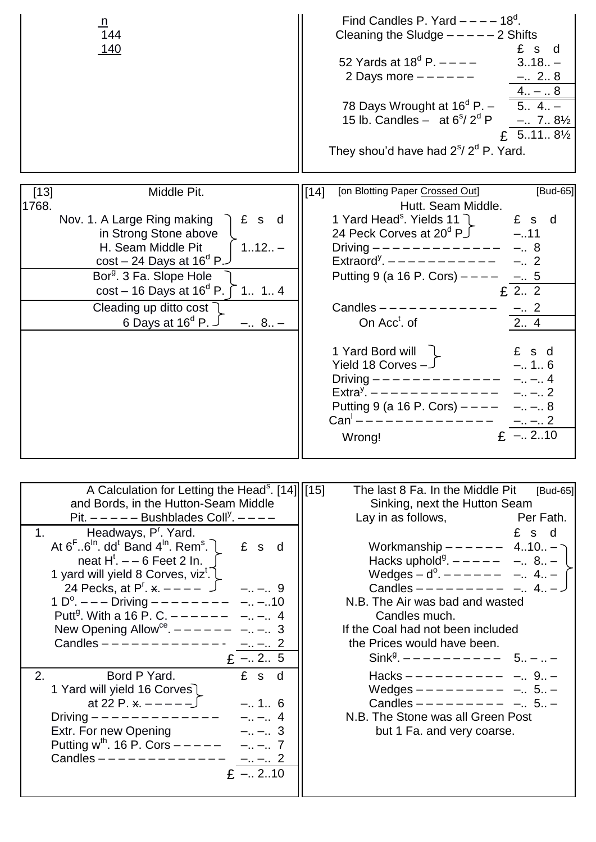| <u>n</u><br>144<br><u> 140</u>                                                                                                                                                                                                                                                                                                                                                                                                                                                                                                                                                                                                                                                                                                                                                                                                                                                                                                                                                                     | Find Candles P. Yard $---18d$ .<br>Cleaning the Sludge $---2$ Shifts<br>£s<br>d<br>52 Yards at $18^{\circ}$ P. $---$<br>$318 -$<br>2 Days more $---$ - - - - -<br>$-.28$<br>$4 -  8$<br>78 Days Wrought at $16^d$ P. - 5 4 -<br>15 lb. Candles - at $6^{\circ}/2^{\circ}$ P - 7 $8\frac{1}{2}$<br>£ $5.11.8\%$<br>They shou'd have had $2^{\circ}/2^{\circ}$ P. Yard.                                                                                                                                                                                                                                                                                             |
|----------------------------------------------------------------------------------------------------------------------------------------------------------------------------------------------------------------------------------------------------------------------------------------------------------------------------------------------------------------------------------------------------------------------------------------------------------------------------------------------------------------------------------------------------------------------------------------------------------------------------------------------------------------------------------------------------------------------------------------------------------------------------------------------------------------------------------------------------------------------------------------------------------------------------------------------------------------------------------------------------|-------------------------------------------------------------------------------------------------------------------------------------------------------------------------------------------------------------------------------------------------------------------------------------------------------------------------------------------------------------------------------------------------------------------------------------------------------------------------------------------------------------------------------------------------------------------------------------------------------------------------------------------------------------------|
| Middle Pit.<br>$[13]$<br>1768.<br>£ s d<br>Nov. 1. A Large Ring making<br>in Strong Stone above<br>$112 -$<br>H. Seam Middle Pit<br>$cost - 24$ Days at $16^d$ P.<br>Bor <sup>g</sup> . 3 Fa. Slope Hole<br>cost – 16 Days at $16^{\circ}$ P. $\int$ 1 1 4<br>Cleading up ditto cost<br>6 Days at $16^{\circ}$ P. $\overline{\phantom{1}}$<br>$-.8 -$                                                                                                                                                                                                                                                                                                                                                                                                                                                                                                                                                                                                                                              | [on Blotting Paper Crossed Out]<br>[Bud-65]<br>$[14]$<br>Hutt. Seam Middle.<br>1 Yard Head <sup>s</sup> . Yields 11 7<br>$E$ s d<br>24 Peck Corves at $20^{\circ}$ P $\sqrt{ }$ -11<br>Driving $------------$ - 8<br>Extraord <sup>y</sup> . $---------$<br>$-.2$<br>Putting 9 (a 16 P. Cors) $---$<br>$-.5$<br>£ 2 2<br>Candles $-- ---$<br>$-.2$<br>On Acc <sup>t</sup> . of<br>2 4<br>1 Yard Bord will<br>£ s d<br>$-.1.6$<br>Yield 18 Corves $-J$<br>$- - . 4$<br>Driving ——————————————<br>$\text{Extra}^{\overline{y}}$ , - - - - - - - - - - - - -<br>$- - 2$<br>Putting 9 (a 16 P. Cors) $---$<br>$- - 8$<br>$Can' -- -$<br>$- - 2$<br>$-.2.10$<br>Wrong! |
| A Calculation for Letting the Head <sup>s</sup> . [14] [15]<br>and Bords, in the Hutton-Seam Middle<br>Pit. $---$ Bushblades Coll <sup>y</sup> . $---$<br>Headways, P <sup>r</sup> . Yard.<br>1 <sub>1</sub><br>At $6^{\text{F}}$ $6^{\text{In}}$ . dd <sup>t</sup> Band 4 <sup>In</sup> . Rem <sup>s</sup> .<br>£ s d<br>neat $H^t$ . $-$ 6 Feet 2 In.<br>1 yard will yield 8 Corves, viz <sup>t</sup> . L<br>24 Pecks, at $P^{r}$ . $x - - -  \Box$<br>$- - 9$<br>$-. - .10$<br>1 $D^{\circ}$ . — — — Driving — — — — — — — —<br>Putt <sup>g</sup> . With a 16 P. C. $---$ — — —<br>$-,-,-1$<br>New Opening Allow <sup>ce</sup> . $---$ - - - -<br>$-. - . 3$<br>Candles $---$<br>$- - 2$<br>$E - 2.5$<br>£ s d<br>2.<br>Bord P Yard.<br>1 Yard will yield 16 Corves<br>at 22 P. $x - - - -$<br>$-.16$<br>$- - 4$<br>Driving $- - - - - - - - - - - -$<br>Extr. For new Opening<br>$-. - 3$<br>Putting $w^{th}$ . 16 P. Cors $---$<br>$- - 7$<br>Candles $------------$<br>$- - 2$<br>$E - 2.10$ | The last 8 Fa. In the Middle Pit<br>[Bud-65]<br>Sinking, next the Hutton Seam<br>Lay in as follows,<br>Per Fath.<br>£ s d<br>Workmanship $--- - - - 4.10. -$<br>Hacks uphold <sup>9</sup> . $--- - -$ - 8 -<br>Wedges $-d^0$ . $--- - -  -. 4 -$<br>Candles $---------$ - 4 -<br>N.B. The Air was bad and wasted<br>Candles much.<br>If the Coal had not been included<br>the Prices would have been.<br>$\sin k^{9}$ , $--------$ 5 -  -<br>Hacks $---------$ - 9 -<br>Wedges $---------$ - 5 -<br>Candles $- - - - - - - -$<br>$- 5 -$<br>N.B. The Stone was all Green Post<br>but 1 Fa. and very coarse.                                                       |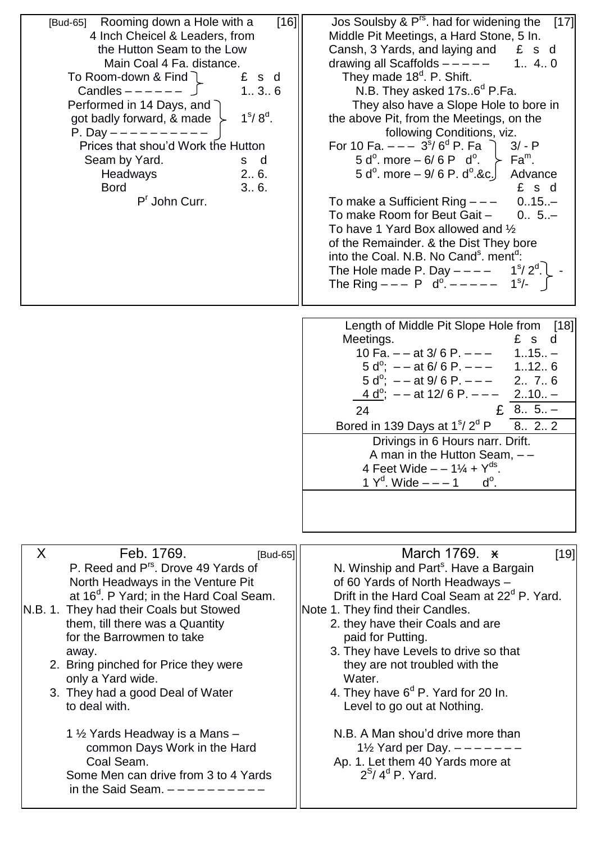| [16]<br>[Bud-65] Rooming down a Hole with a<br>4 Inch Cheicel & Leaders, from<br>the Hutton Seam to the Low<br>Main Coal 4 Fa. distance.<br>To Room-down & Find<br>£ s d<br>136<br>Candles $-- \Box$<br>Performed in 14 Days, and $\bigcap$<br>$1^{\circ}/ 8^{\circ}$ .<br>got badly forward, & made $\succ$<br>P. Day $------$<br>Prices that shou'd Work the Hutton<br>Seam by Yard.<br>s d<br>2 6.<br>Headways<br>3 6.<br><b>Bord</b><br>P <sup>r</sup> John Curr.                                                                                                | Jos Soulsby & $P^{rs}$ . had for widening the [17]<br>Middle Pit Meetings, a Hard Stone, 5 In.<br>Cansh, 3 Yards, and laying and $E$ s d<br>drawing all Scaffolds $--- - -$ 1 4 0<br>They made 18 <sup>d</sup> . P. Shift.<br>N.B. They asked 17s6 <sup>d</sup> P.Fa.<br>They also have a Slope Hole to bore in<br>the above Pit, from the Meetings, on the<br>following Conditions, viz.<br>For 10 Fa. $--- 3^{s}/6^{d}$ P. Fa $\bigcap$<br>$3/- P$<br>5 d <sup>o</sup> . more – 6/6 P d <sup>o</sup> . $\succ$ Fa <sup>m</sup> .<br>$5 d^{\circ}$ . more $-9/6 P$ . d <sup>o</sup> . & c. Advance<br>£ s d<br>To make a Sufficient Ring $---$ 015<br>To make Room for Beut Gait -<br>$0 5. -$<br>To have 1 Yard Box allowed and 1/2<br>of the Remainder. & the Dist They bore<br>into the Coal. N.B. No Cand <sup>s</sup> . ment <sup>d</sup> :<br>The Hole made P. Day $--- 1^s/2^d$ .<br>The Ring $--- P$ d <sup>o</sup> . $--- - 1$ <sup>s</sup> /- |
|----------------------------------------------------------------------------------------------------------------------------------------------------------------------------------------------------------------------------------------------------------------------------------------------------------------------------------------------------------------------------------------------------------------------------------------------------------------------------------------------------------------------------------------------------------------------|----------------------------------------------------------------------------------------------------------------------------------------------------------------------------------------------------------------------------------------------------------------------------------------------------------------------------------------------------------------------------------------------------------------------------------------------------------------------------------------------------------------------------------------------------------------------------------------------------------------------------------------------------------------------------------------------------------------------------------------------------------------------------------------------------------------------------------------------------------------------------------------------------------------------------------------------------------|
|                                                                                                                                                                                                                                                                                                                                                                                                                                                                                                                                                                      | Length of Middle Pit Slope Hole from [18]<br>£ s d<br>Meetings.<br>10 Fa. $-$ - at 3/6 P. $-$ - $-$ 115 -<br>$5 d^{\circ}$ ; $- - at 6/6 P$ . $- - -$ 112 6<br>$5 d^{\circ}$ ; --at 9/6 P. --- 2 7 6<br>$\frac{4 \text{ d}^{\circ}}{2}$ ; --at 12/6 P. --- 210-<br>£ 8 $5. -$<br>24<br>Bored in 139 Days at $1^{\circ}/2^{\circ}$ P<br>8.2.2<br>Drivings in 6 Hours narr. Drift.<br>A man in the Hutton Seam, $-$<br>4 Feet Wide $- - 1\frac{1}{4} + Y^{ds}$ .<br>1 $Y^d$ . Wide $--- 1$<br>$d^{\circ}$ .                                                                                                                                                                                                                                                                                                                                                                                                                                                |
| Feb. 1769.<br>X<br>[Bud-65]<br>P. Reed and P <sup>rs</sup> . Drove 49 Yards of<br>North Headways in the Venture Pit<br>at 16 <sup>d</sup> . P Yard; in the Hard Coal Seam.<br>N.B. 1. They had their Coals but Stowed<br>them, till there was a Quantity<br>for the Barrowmen to take<br>away.<br>2. Bring pinched for Price they were<br>only a Yard wide.<br>3. They had a good Deal of Water<br>to deal with.<br>1 1/2 Yards Headway is a Mans -<br>common Days Work in the Hard<br>Coal Seam.<br>Some Men can drive from 3 to 4 Yards<br>in the Said Seam. $-$ - | March 1769. *<br>[19]<br>N. Winship and Part <sup>s</sup> . Have a Bargain<br>of 60 Yards of North Headways -<br>Drift in the Hard Coal Seam at 22 <sup>d</sup> P. Yard.<br>Note 1. They find their Candles.<br>2. they have their Coals and are<br>paid for Putting.<br>3. They have Levels to drive so that<br>they are not troubled with the<br>Water.<br>4. They have $6d$ P. Yard for 20 ln.<br>Level to go out at Nothing.<br>N.B. A Man shou'd drive more than<br>1 $\frac{1}{2}$ Yard per Day. $-$ -<br>Ap. 1. Let them 40 Yards more at<br>$2^{S}/4^{d}$ P. Yard.                                                                                                                                                                                                                                                                                                                                                                               |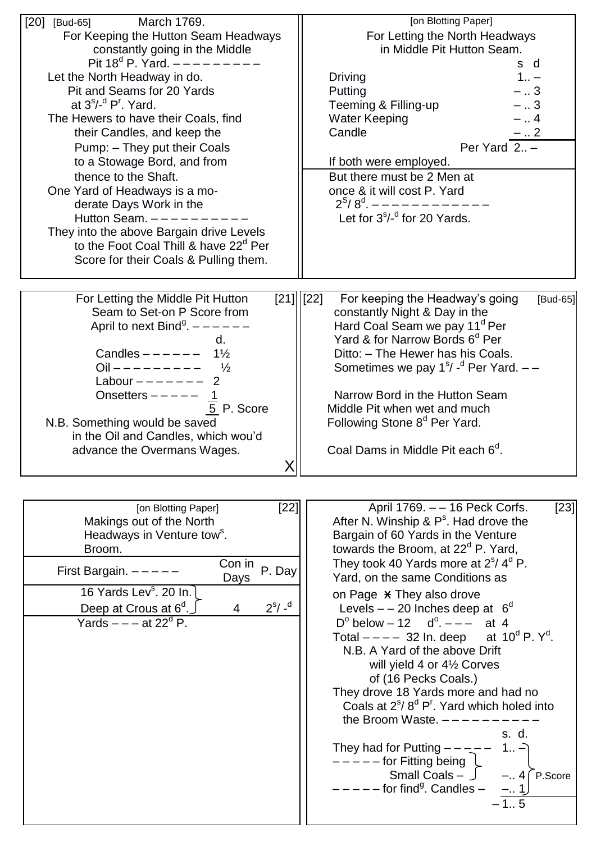| March 1769.<br>[20]<br>[Bud-65]<br>For Keeping the Hutton Seam Headways<br>constantly going in the Middle<br>Pit 18 <sup>d</sup> P. Yard. $---$ - - - -<br>Let the North Headway in do.<br>Pit and Seams for 20 Yards<br>at $3^{5/-d}$ P <sup>r</sup> . Yard.<br>The Hewers to have their Coals, find<br>their Candles, and keep the<br>Pump: - They put their Coals<br>to a Stowage Bord, and from<br>thence to the Shaft.<br>One Yard of Headways is a mo-<br>derate Days Work in the<br>Hutton Seam. $---$<br>They into the above Bargain drive Levels<br>to the Foot Coal Thill & have 22 <sup>d</sup> Per<br>Score for their Coals & Pulling them. | [on Blotting Paper]<br>For Letting the North Headways<br>in Middle Pit Hutton Seam.<br>s d<br>$1_{11} -$<br>Driving<br>Putting<br>–  3<br>Teeming & Filling-up<br>$-3$<br><b>Water Keeping</b><br>–  4<br>Candle<br>-  2<br>Per Yard $2. -$<br>If both were employed.<br>But there must be 2 Men at<br>once & it will cost P. Yard<br>$2^{S}/8^{d}$ . - - - - - - -<br>Let for 3 <sup>S</sup> /- <sup>d</sup> for 20 Yards.                                                                                                                                                                                                                                                                                                                                                                                                                    |
|---------------------------------------------------------------------------------------------------------------------------------------------------------------------------------------------------------------------------------------------------------------------------------------------------------------------------------------------------------------------------------------------------------------------------------------------------------------------------------------------------------------------------------------------------------------------------------------------------------------------------------------------------------|------------------------------------------------------------------------------------------------------------------------------------------------------------------------------------------------------------------------------------------------------------------------------------------------------------------------------------------------------------------------------------------------------------------------------------------------------------------------------------------------------------------------------------------------------------------------------------------------------------------------------------------------------------------------------------------------------------------------------------------------------------------------------------------------------------------------------------------------|
| For Letting the Middle Pit Hutton<br>Seam to Set-on P Score from<br>April to next Bind <sup>9</sup> . $---$<br>d.<br>Candles $--- - - 1\frac{1}{2}$<br>$Oil - - - - - - - - -$<br>$\frac{1}{2}$<br>Labour $------$<br>$\overline{2}$<br>Onsetters $--- -$ 1<br>5 P. Score<br>N.B. Something would be saved<br>in the Oil and Candles, which wou'd<br>advance the Overmans Wages.                                                                                                                                                                                                                                                                        | $[21]$  [22]<br>For keeping the Headway's going<br>[Bud-65]<br>constantly Night & Day in the<br>Hard Coal Seam we pay 11 <sup>d</sup> Per<br>Yard & for Narrow Bords 6 <sup>d</sup> Per<br>Ditto: - The Hewer has his Coals.<br>Sometimes we pay $1s / -d$ Per Yard. $-$<br>Narrow Bord in the Hutton Seam<br>Middle Pit when wet and much<br>Following Stone 8 <sup>d</sup> Per Yard.<br>Coal Dams in Middle Pit each 6 <sup>d</sup> .                                                                                                                                                                                                                                                                                                                                                                                                        |
| $[22]$<br>[on Blotting Paper]<br>Makings out of the North<br>Headways in Venture tow <sup>s</sup> .<br>Broom.<br>Con in<br>P. Day<br>First Bargain. $---$<br>Days<br>16 Yards Lev <sup>s</sup> . 20 In.<br>$2^{s}/ -d$<br>Deep at Crous at 6 <sup>d</sup> .<br>$\overline{4}$<br>Yards $---$ at 22 <sup>d</sup> P.                                                                                                                                                                                                                                                                                                                                      | April 1769. -- 16 Peck Corfs.<br>[23]<br>After N. Winship & $P^s$ . Had drove the<br>Bargain of 60 Yards in the Venture<br>towards the Broom, at $22d$ P. Yard,<br>They took 40 Yards more at $2s/4d$ P.<br>Yard, on the same Conditions as<br>on Page * They also drove<br>Levels $-$ - 20 Inches deep at $6^{\circ}$<br>$D^{\circ}$ below - 12 d <sup>o</sup> . - - at 4<br>Total $--- 32$ In. deep at $10^d$ P. Y <sup>d</sup> .<br>N.B. A Yard of the above Drift<br>will yield 4 or 41/2 Corves<br>of (16 Pecks Coals.)<br>They drove 18 Yards more and had no<br>Coals at $2^s/8^d$ P <sup>r</sup> . Yard which holed into<br>the Broom Waste. $---$<br>s. d.<br>They had for Putting $- - -$<br>$1 -$<br>$---$ - for Fitting being $\downarrow$<br>Small Coals $   4$ P.Score<br>-----for find <sup>g</sup> . Candles -<br>$-1.1$<br>15 |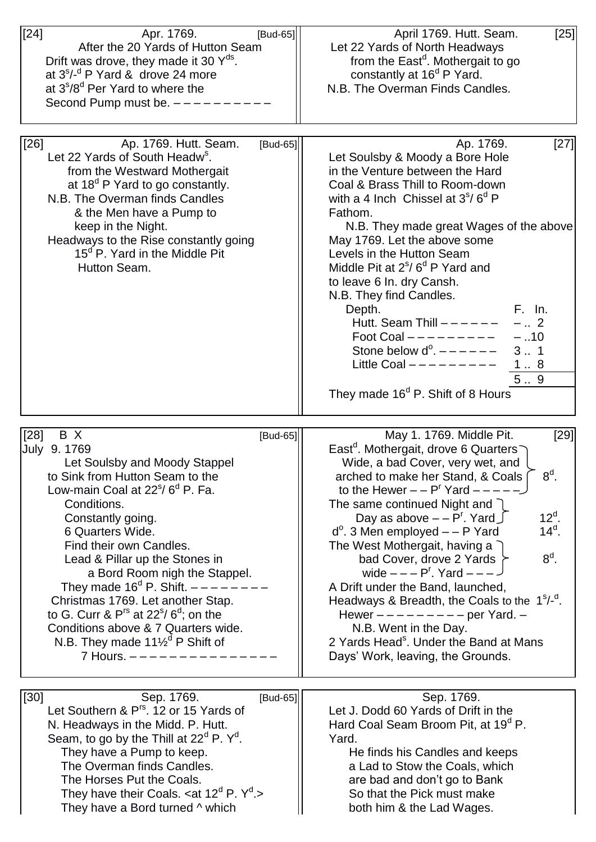| $[24]$<br>Apr. 1769.<br>[Bud-65]<br>After the 20 Yards of Hutton Seam<br>Drift was drove, they made it 30 $Y^{ds}$ .<br>at $3^{s}/-d$ P Yard & drove 24 more<br>at 3°/8 <sup>d</sup> Per Yard to where the<br>Second Pump must be. $---$                                                                                                                                                                                                                                                                                                                                                       | April 1769. Hutt. Seam.<br>$[25]$<br>Let 22 Yards of North Headways<br>from the East <sup>d</sup> . Mothergait to go<br>constantly at 16 <sup>d</sup> P Yard.<br>N.B. The Overman Finds Candles.                                                                                                                                                                                                                                                                                                                                                                                                                                                                                                                                      |
|------------------------------------------------------------------------------------------------------------------------------------------------------------------------------------------------------------------------------------------------------------------------------------------------------------------------------------------------------------------------------------------------------------------------------------------------------------------------------------------------------------------------------------------------------------------------------------------------|---------------------------------------------------------------------------------------------------------------------------------------------------------------------------------------------------------------------------------------------------------------------------------------------------------------------------------------------------------------------------------------------------------------------------------------------------------------------------------------------------------------------------------------------------------------------------------------------------------------------------------------------------------------------------------------------------------------------------------------|
| $[26]$<br>Ap. 1769. Hutt. Seam.<br>[Bud-65]<br>Let 22 Yards of South Headw <sup>s</sup> .<br>from the Westward Mothergait<br>at $18^{\circ}$ P Yard to go constantly.<br>N.B. The Overman finds Candles<br>& the Men have a Pump to<br>keep in the Night.<br>Headways to the Rise constantly going<br>15 <sup>d</sup> P. Yard in the Middle Pit<br>Hutton Seam.                                                                                                                                                                                                                                | [27]<br>Ap. 1769.<br>Let Soulsby & Moody a Bore Hole<br>in the Venture between the Hard<br>Coal & Brass Thill to Room-down<br>with a 4 lnch Chissel at $3^{\circ}/6^{\circ}$ P<br>Fathom.<br>N.B. They made great Wages of the above<br>May 1769. Let the above some<br>Levels in the Hutton Seam<br>Middle Pit at $2^{\circ}/6^{\circ}$ P Yard and<br>to leave 6 In. dry Cansh.<br>N.B. They find Candles.<br>F. In.<br>Depth.<br>Hutt. Seam Thill $    -$<br>$-$ 2<br>Foot Coal $------$<br>$-.10$<br>Stone below $d^0$ . $-- ---$<br>3 1<br>Little Coal $------$<br>18<br>5.9<br>They made 16 <sup>d</sup> P. Shift of 8 Hours                                                                                                     |
| $[28]$<br>B X<br>[Bud-65]<br>July 9. 1769<br>Let Soulsby and Moody Stappel<br>to Sink from Hutton Seam to the<br>Low-main Coal at 22 <sup>s</sup> /6 <sup>d</sup> P. Fa.<br>Conditions.<br>Constantly going.<br>6 Quarters Wide.<br>Find their own Candles.<br>Lead & Pillar up the Stones in<br>a Bord Room nigh the Stappel.<br>They made $16^d$ P. Shift. $---$<br>Christmas 1769. Let another Stap.<br>to G. Curr & $P^{rs}$ at 22 <sup>s</sup> /6 <sup>d</sup> ; on the<br>Conditions above & 7 Quarters wide.<br>N.B. They made $11\frac{1}{2}$ <sup>d</sup> P Shift of<br>7 Hours. $ -$ | $[29]$<br>May 1. 1769. Middle Pit.<br>East <sup>d</sup> . Mothergait, drove 6 Quarters<br>Wide, a bad Cover, very wet, and<br>$8d$ .<br>arched to make her Stand, & Coals<br>to the Hewer $- - P^{r}$ Yard $- - - -$<br>The same continued Night and $\bigcap$<br>$12^{\circ}$ .<br>Day as above $- - Pr$ . Yard $\int$<br>$14^{\circ}$ .<br>$d^{\circ}$ . 3 Men employed $-$ - P Yard<br>The West Mothergait, having a<br>$8d$ .<br>bad Cover, drove 2 Yards<br>wide $---Pr$ . Yard $---$<br>A Drift under the Band, launched,<br>Headways & Breadth, the Coals to the $1s/-d$ .<br>Hewer $------$ per Yard. $-$<br>N.B. Went in the Day.<br>2 Yards Head <sup>s</sup> . Under the Band at Mans<br>Days' Work, leaving, the Grounds. |
| $[30]$<br>Sep. 1769.<br>[Bud-65]<br>Let Southern & P <sup>rs</sup> . 12 or 15 Yards of<br>N. Headways in the Midd. P. Hutt.<br>Seam, to go by the Thill at $22^d$ P. $Y^d$ .<br>They have a Pump to keep.<br>The Overman finds Candles.<br>The Horses Put the Coals.<br>They have their Coals. < at $12^d$ P. $Y^d$ .><br>They have a Bord turned ^ which                                                                                                                                                                                                                                      | Sep. 1769.<br>Let J. Dodd 60 Yards of Drift in the<br>Hard Coal Seam Broom Pit, at 19 <sup>d</sup> P.<br>Yard.<br>He finds his Candles and keeps<br>a Lad to Stow the Coals, which<br>are bad and don't go to Bank<br>So that the Pick must make<br>both him & the Lad Wages.                                                                                                                                                                                                                                                                                                                                                                                                                                                         |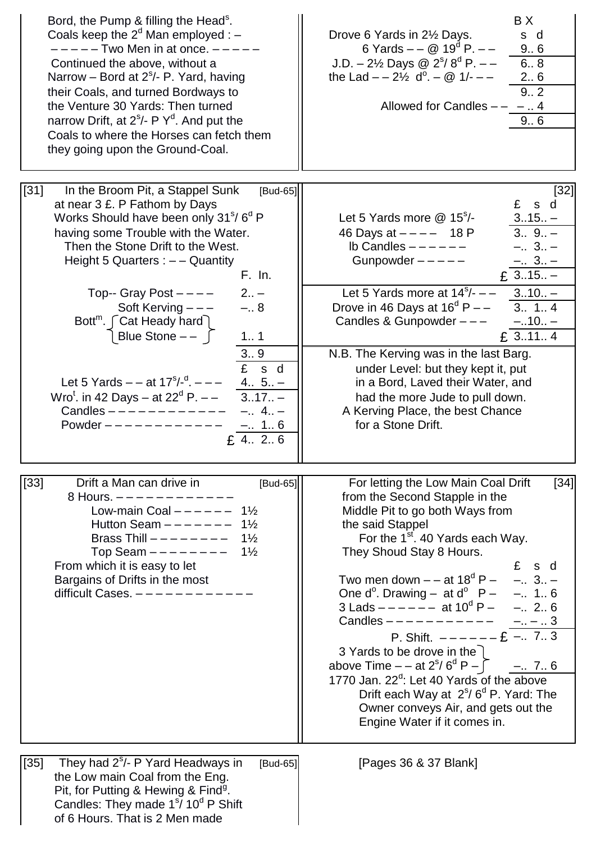| Bord, the Pump & filling the Head <sup>s</sup> .<br>Coals keep the $2d$ Man employed : $-$<br>-----Two Men in at once. -----<br>Continued the above, without a<br>Narrow – Bord at $2^{\circ}/$ - P. Yard, having<br>their Coals, and turned Bordways to<br>the Venture 30 Yards: Then turned<br>narrow Drift, at $2^{\circ}/\cdot$ P $Y^d$ . And put the<br>Coals to where the Horses can fetch them<br>they going upon the Ground-Coal.                                                                                                                                                                                                                              | BX<br>s d<br>Drove 6 Yards in 2½ Days.<br>6 Yards $ \omega$ 19 <sup>d</sup> P. $-$<br>9.6<br>J.D. $-2\frac{1}{2}$ Days @ $2^{5}/8^{d}$ P. $-$<br>6.8<br>the Lad $- -2\frac{1}{2}$ d <sup>o</sup> . $ \omega$ 1/- $-$<br>26<br>9.2<br>Allowed for Candles $-- -$ 4<br>9.6                                                                                                                                                                                                                                                                                                                                                                                                                                                   |
|------------------------------------------------------------------------------------------------------------------------------------------------------------------------------------------------------------------------------------------------------------------------------------------------------------------------------------------------------------------------------------------------------------------------------------------------------------------------------------------------------------------------------------------------------------------------------------------------------------------------------------------------------------------------|----------------------------------------------------------------------------------------------------------------------------------------------------------------------------------------------------------------------------------------------------------------------------------------------------------------------------------------------------------------------------------------------------------------------------------------------------------------------------------------------------------------------------------------------------------------------------------------------------------------------------------------------------------------------------------------------------------------------------|
| $[31]$<br>In the Broom Pit, a Stappel Sunk<br>[Bud-65]<br>at near 3 £. P Fathom by Days<br>Works Should have been only 31 <sup>s</sup> /6 <sup>d</sup> P<br>having some Trouble with the Water.<br>Then the Stone Drift to the West.<br>Height 5 Quarters : $-$ - Quantity<br>F. In.<br>$2 -$<br>Top-- Gray Post $---$<br>$-.8$<br>Soft Kerving $---$<br>Bott <sup>m</sup> . $\int$ Cat Heady hard $\int$<br>Blue Stone $- \int$<br>1 1<br>3.9<br>£ s d<br>Let 5 Yards $-$ - at $17^{s}/^{d}$ . $ -$<br>$\frac{4 5 -}{317 -}$<br>Wro <sup>t</sup> . in 42 Days – at $22^d$ P. – –<br>Candles $------------$<br>$-.4.1$<br>Powder ------------<br>$-. 1.6$<br>£ 4. 2. 6 | $[32]$<br>£ s d<br>$315 -$<br>Let 5 Yards more $@$ 15 <sup>S</sup> /-<br>$3.9 -$<br>46 Days at $--- 18 P$<br>Ib Candles $---$ - $---$<br>$-.3 -$<br>Gunpowder $---$<br>$rac{-1.31 - 1}{2.3 \cdot 15.1}$<br>Let 5 Yards more at $14^{\circ}/-$ -<br>$310 -$<br>Drove in 46 Days at $16^d$ P $-$<br>3.1.4<br>Candles & Gunpowder $---$<br>$-.10 -$<br>£ 3114<br>N.B. The Kerving was in the last Barg.<br>under Level: but they kept it, put<br>in a Bord, Laved their Water, and<br>had the more Jude to pull down.<br>A Kerving Place, the best Chance<br>for a Stone Drift.                                                                                                                                               |
| Drift a Man can drive in<br>$[33]$<br>[Bud-65]<br>8 Hours. -----------<br>Low-main Coal $-- ---$<br>$1\frac{1}{2}$<br>Hutton Seam $------$<br>$1\frac{1}{2}$<br>Brass Thill $------$<br>$1\frac{1}{2}$<br>$1\frac{1}{2}$<br>Top Seam $------$<br>From which it is easy to let<br>Bargains of Drifts in the most<br>difficult Cases. $------$                                                                                                                                                                                                                                                                                                                           | For letting the Low Main Coal Drift<br>$[34]$<br>from the Second Stapple in the<br>Middle Pit to go both Ways from<br>the said Stappel<br>For the 1 <sup>st</sup> . 40 Yards each Way.<br>They Shoud Stay 8 Hours.<br>£ s d<br>Two men down $-$ – at $18^d$ P – –  3 –<br>One $d^{\circ}$ . Drawing – at $d^{\circ}$ P – – 1 6<br>$3$ Lads $--- -$ at $10^{d}$ P $-$<br>$-.2.6$<br>Candles $---------$<br>$-. - . 3$<br>P. Shift. $---E$ - 7 3<br>3 Yards to be drove in the<br>above Time $-$ – at $2^{s}/6^{d}$ P – $\int$ – 7 6<br>1770 Jan. 22 <sup>d</sup> : Let 40 Yards of the above<br>Drift each Way at $2^{\circ}/6^{\circ}$ P. Yard: The<br>Owner conveys Air, and gets out the<br>Engine Water if it comes in. |
| $[35]$<br>They had $2^{\circ}/\text{-}$ P Yard Headways in<br>[Bud-65]<br>the Low main Coal from the Eng.<br>Pit, for Putting & Hewing & Find <sup>g</sup> .<br>Candles: They made 1 <sup>s</sup> / 10 <sup>d</sup> P Shift<br>of 6 Hours. That is 2 Men made                                                                                                                                                                                                                                                                                                                                                                                                          | [Pages 36 & 37 Blank]                                                                                                                                                                                                                                                                                                                                                                                                                                                                                                                                                                                                                                                                                                      |